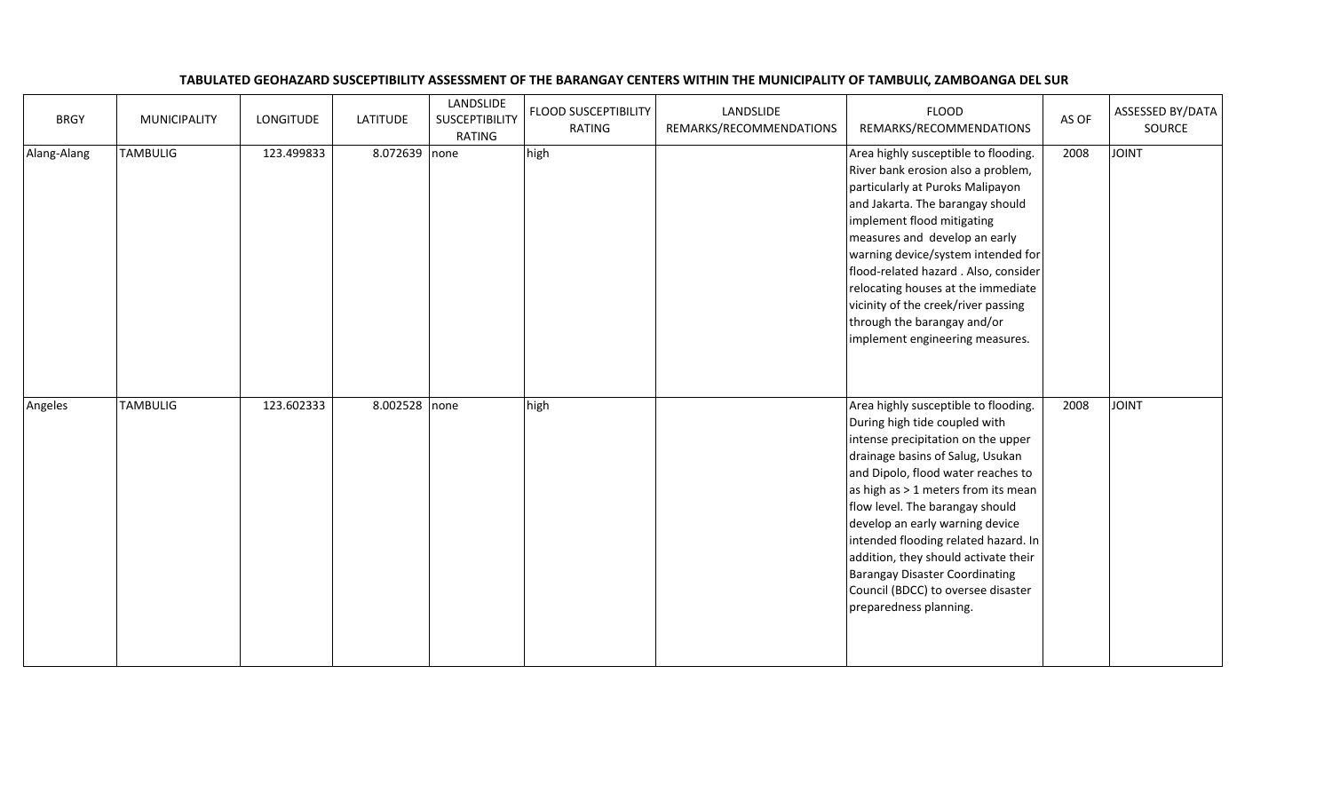## TABULATED GEOHAZARD SUSCEPTIBILITY ASSESSMENT OF THE BARANGAY CENTERS WITHIN THE MUNICIPALITY OF TAMBULIG, ZAMBOANGA DEL SUR

| <b>BRGY</b> | <b>MUNICIPALITY</b> | LONGITUDE  | <b>LATITUDE</b> | LANDSLIDE<br>SUSCEPTIBILITY<br><b>RATING</b> | FLOOD SUSCEPTIBILITY<br>RATING | LANDSLIDE<br>REMARKS/RECOMMENDATIONS | <b>FLOOD</b><br>REMARKS/RECOMMENDATIONS                                                                                                                                                                                                                                                                                                                                                                                                                                                       | AS OF | ASSESSED BY/DATA<br>SOURCE |
|-------------|---------------------|------------|-----------------|----------------------------------------------|--------------------------------|--------------------------------------|-----------------------------------------------------------------------------------------------------------------------------------------------------------------------------------------------------------------------------------------------------------------------------------------------------------------------------------------------------------------------------------------------------------------------------------------------------------------------------------------------|-------|----------------------------|
| Alang-Alang | <b>TAMBULIG</b>     | 123.499833 | 8.072639 none   |                                              | high                           |                                      | Area highly susceptible to flooding.<br>River bank erosion also a problem,<br>particularly at Puroks Malipayon<br>and Jakarta. The barangay should<br>implement flood mitigating<br>measures and develop an early<br>warning device/system intended for<br>flood-related hazard . Also, consider<br>relocating houses at the immediate<br>vicinity of the creek/river passing<br>through the barangay and/or<br>implement engineering measures.                                               | 2008  | <b>TINIOL</b>              |
| Angeles     | <b>TAMBULIG</b>     | 123.602333 | 8.002528 none   |                                              | high                           |                                      | Area highly susceptible to flooding.<br>During high tide coupled with<br>intense precipitation on the upper<br>drainage basins of Salug, Usukan<br>and Dipolo, flood water reaches to<br>as high as $> 1$ meters from its mean<br>flow level. The barangay should<br>develop an early warning device<br>intended flooding related hazard. In<br>addition, they should activate their<br><b>Barangay Disaster Coordinating</b><br>Council (BDCC) to oversee disaster<br>preparedness planning. | 2008  | <b>TAIOL</b>               |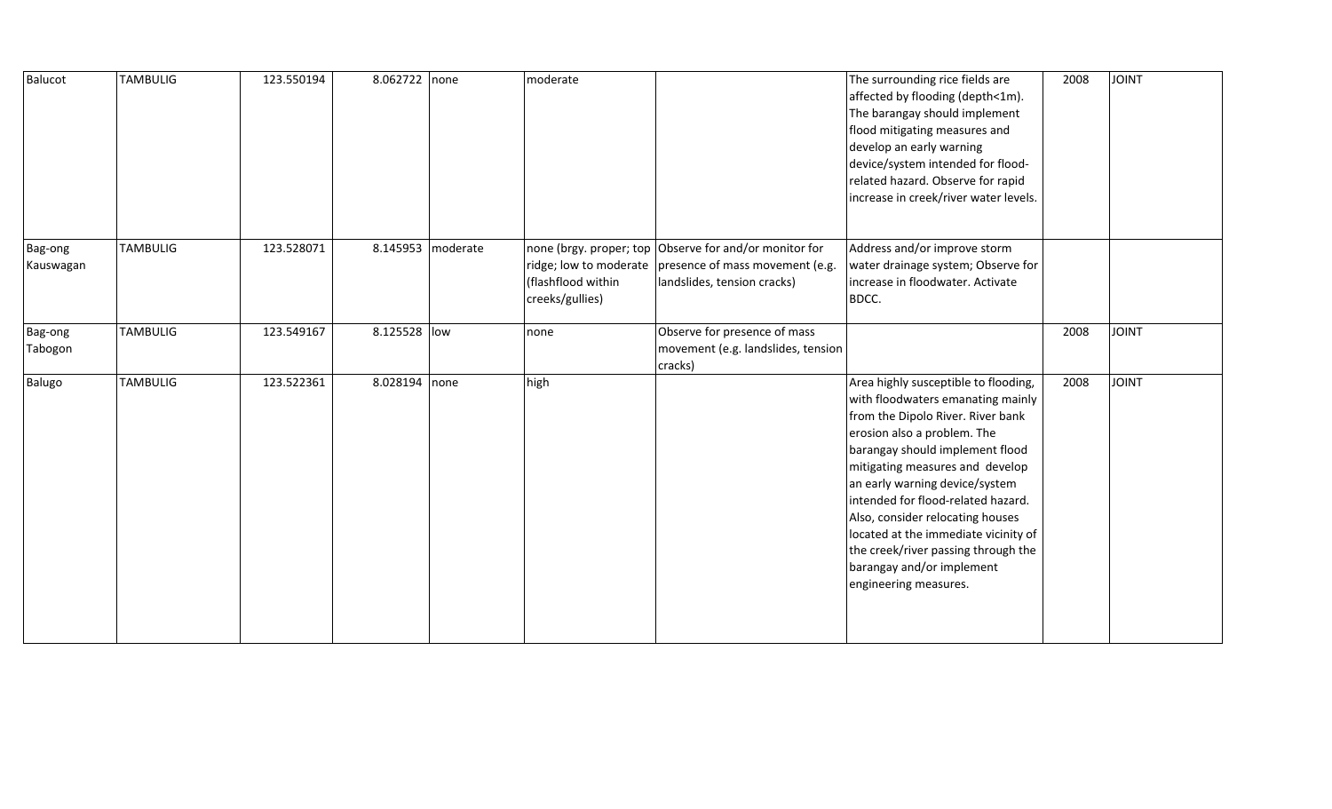| Balucot              | <b>TAMBULIG</b> | 123.550194 | 8.062722 none |                   | moderate                              |                                                                                                                                                 | The surrounding rice fields are<br>affected by flooding (depth<1m).<br>The barangay should implement<br>flood mitigating measures and<br>develop an early warning<br>device/system intended for flood-<br>related hazard. Observe for rapid<br>increase in creek/river water levels.                                                                                                                                                                                 | 2008 | <b>JOINT</b> |
|----------------------|-----------------|------------|---------------|-------------------|---------------------------------------|-------------------------------------------------------------------------------------------------------------------------------------------------|----------------------------------------------------------------------------------------------------------------------------------------------------------------------------------------------------------------------------------------------------------------------------------------------------------------------------------------------------------------------------------------------------------------------------------------------------------------------|------|--------------|
| Bag-ong<br>Kauswagan | <b>TAMBULIG</b> | 123.528071 |               | 8.145953 moderate | (flashflood within<br>creeks/gullies) | none (brgy. proper; top Observe for and/or monitor for<br>ridge; low to moderate presence of mass movement (e.g.<br>landslides, tension cracks) | Address and/or improve storm<br>water drainage system; Observe for<br>increase in floodwater. Activate<br>BDCC.                                                                                                                                                                                                                                                                                                                                                      |      |              |
| Bag-ong<br>Tabogon   | <b>TAMBULIG</b> | 123.549167 | 8.125528 low  |                   | none                                  | Observe for presence of mass<br>movement (e.g. landslides, tension<br>cracks)                                                                   |                                                                                                                                                                                                                                                                                                                                                                                                                                                                      | 2008 | <b>JOINT</b> |
| Balugo               | <b>TAMBULIG</b> | 123.522361 | 8.028194 none |                   | high                                  |                                                                                                                                                 | Area highly susceptible to flooding,<br>with floodwaters emanating mainly<br>from the Dipolo River. River bank<br>erosion also a problem. The<br>barangay should implement flood<br>mitigating measures and develop<br>an early warning device/system<br>intended for flood-related hazard.<br>Also, consider relocating houses<br>located at the immediate vicinity of<br>the creek/river passing through the<br>barangay and/or implement<br>engineering measures. | 2008 | JOINT        |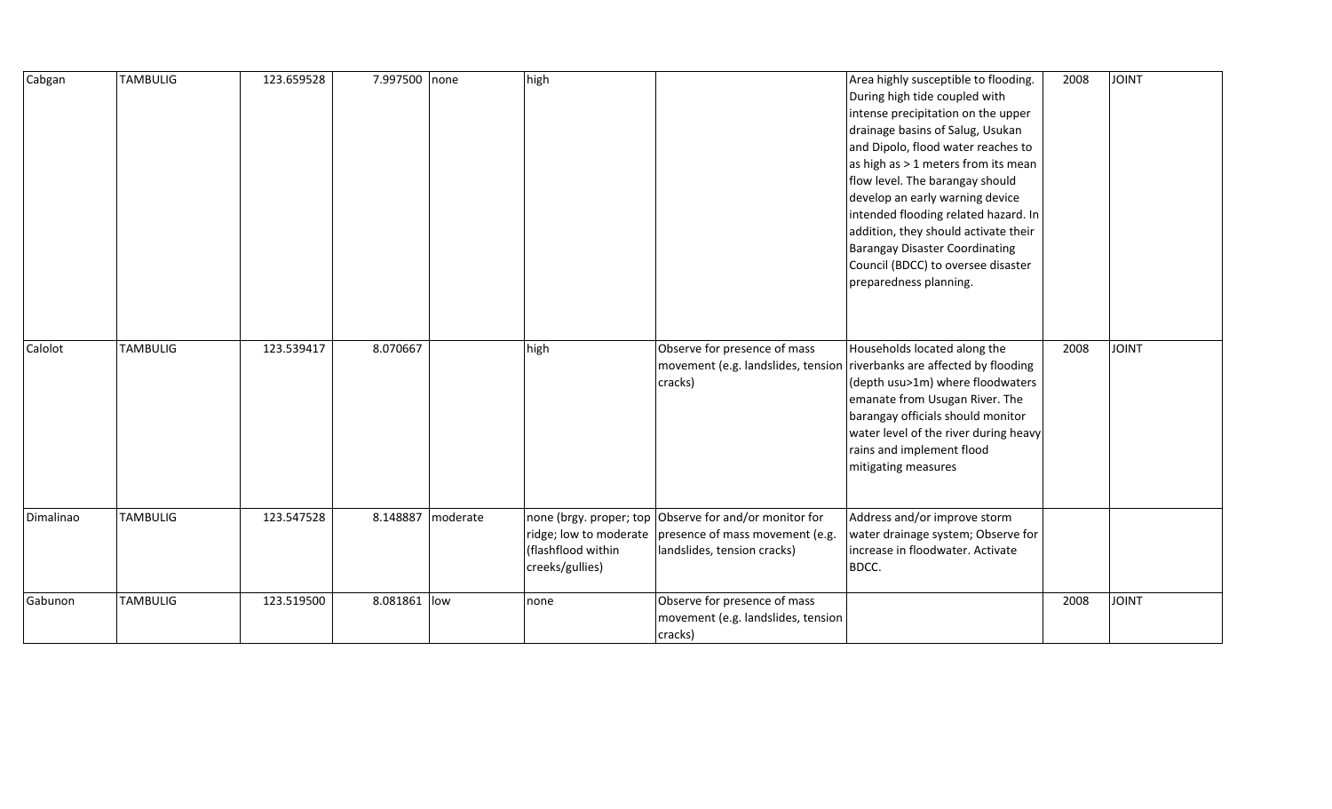| Cabgan    | <b>TAMBULIG</b> | 123.659528 | 7.997500 none |          | high                                  |                                                                                                                                                 | Area highly susceptible to flooding.<br>During high tide coupled with<br>intense precipitation on the upper<br>drainage basins of Salug, Usukan<br>and Dipolo, flood water reaches to<br>as high as > 1 meters from its mean<br>flow level. The barangay should<br>develop an early warning device<br>intended flooding related hazard. In<br>addition, they should activate their<br><b>Barangay Disaster Coordinating</b><br>Council (BDCC) to oversee disaster<br>preparedness planning. | 2008 | <b>JOINT</b> |
|-----------|-----------------|------------|---------------|----------|---------------------------------------|-------------------------------------------------------------------------------------------------------------------------------------------------|---------------------------------------------------------------------------------------------------------------------------------------------------------------------------------------------------------------------------------------------------------------------------------------------------------------------------------------------------------------------------------------------------------------------------------------------------------------------------------------------|------|--------------|
| Calolot   | <b>TAMBULIG</b> | 123.539417 | 8.070667      |          | high                                  | Observe for presence of mass<br>cracks)                                                                                                         | Households located along the<br>movement (e.g. landslides, tension riverbanks are affected by flooding<br>(depth usu>1m) where floodwaters<br>emanate from Usugan River. The<br>barangay officials should monitor<br>water level of the river during heavy<br>rains and implement flood<br>mitigating measures                                                                                                                                                                              | 2008 | <b>JOINT</b> |
| Dimalinao | <b>TAMBULIG</b> | 123.547528 | 8.148887      | moderate | (flashflood within<br>creeks/gullies) | none (brgy. proper; top Observe for and/or monitor for<br>ridge; low to moderate presence of mass movement (e.g.<br>landslides, tension cracks) | Address and/or improve storm<br>water drainage system; Observe for<br>increase in floodwater. Activate<br>BDCC.                                                                                                                                                                                                                                                                                                                                                                             |      |              |
| Gabunon   | <b>TAMBULIG</b> | 123.519500 | 8.081861 low  |          | none                                  | Observe for presence of mass<br>movement (e.g. landslides, tension<br>cracks)                                                                   |                                                                                                                                                                                                                                                                                                                                                                                                                                                                                             | 2008 | <b>JOINT</b> |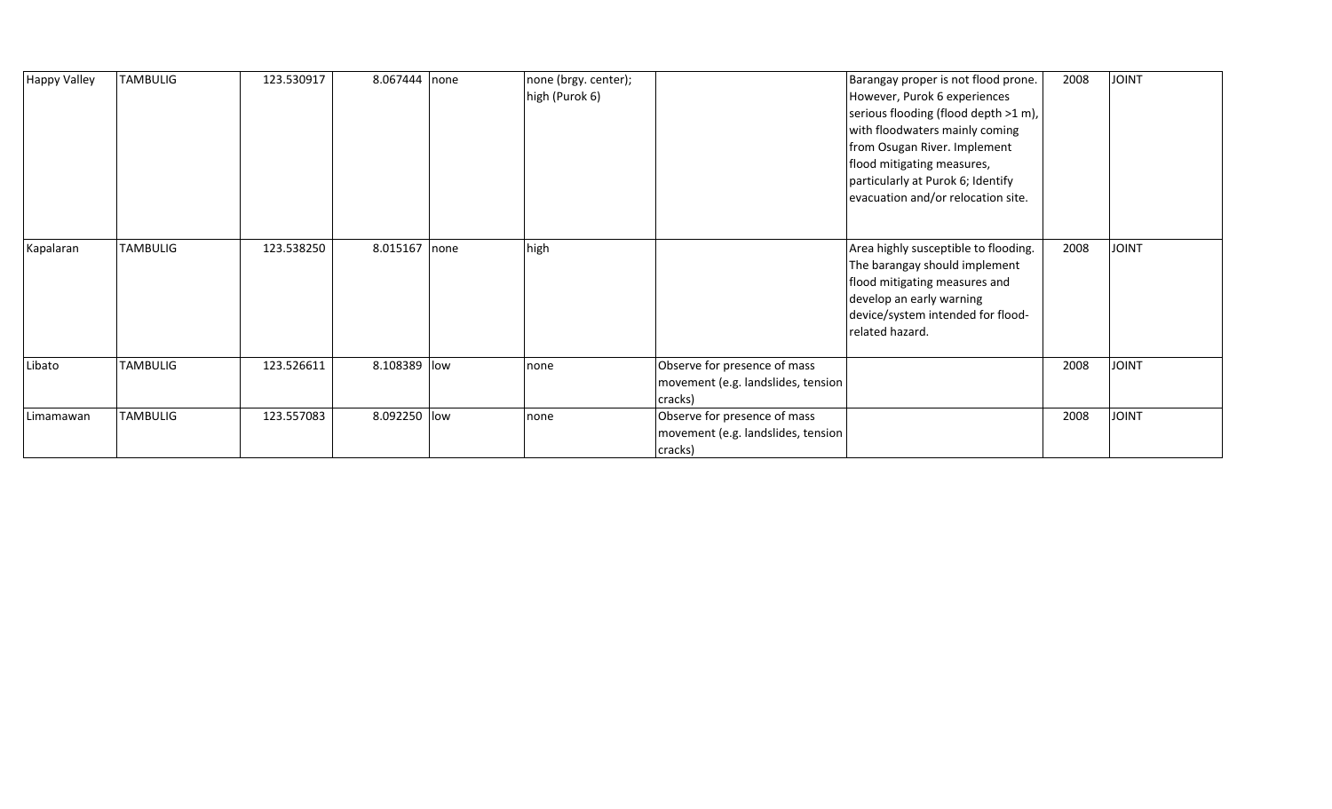| <b>Happy Valley</b> | TAMBULIG | 123.530917 | 8.067444 none |      | none (brgy. center);<br>high (Purok 6) |                                                                               | Barangay proper is not flood prone.<br>However, Purok 6 experiences<br>serious flooding (flood depth >1 m),<br>with floodwaters mainly coming<br>from Osugan River. Implement<br>flood mitigating measures,<br>particularly at Purok 6; Identify<br>evacuation and/or relocation site. | 2008 | <b>JOINT</b> |
|---------------------|----------|------------|---------------|------|----------------------------------------|-------------------------------------------------------------------------------|----------------------------------------------------------------------------------------------------------------------------------------------------------------------------------------------------------------------------------------------------------------------------------------|------|--------------|
| Kapalaran           | TAMBULIG | 123.538250 | 8.015167      | none | high                                   |                                                                               | Area highly susceptible to flooding.<br>The barangay should implement<br>flood mitigating measures and<br>develop an early warning<br>device/system intended for flood-<br>related hazard.                                                                                             | 2008 | <b>JOINT</b> |
| Libato              | TAMBULIG | 123.526611 | 8.108389 low  |      | none                                   | Observe for presence of mass<br>movement (e.g. landslides, tension<br>cracks) |                                                                                                                                                                                                                                                                                        | 2008 | <b>JOINT</b> |
| Limamawan           | TAMBULIG | 123.557083 | 8.092250 low  |      | none                                   | Observe for presence of mass<br>movement (e.g. landslides, tension<br>cracks) |                                                                                                                                                                                                                                                                                        | 2008 | <b>JOINT</b> |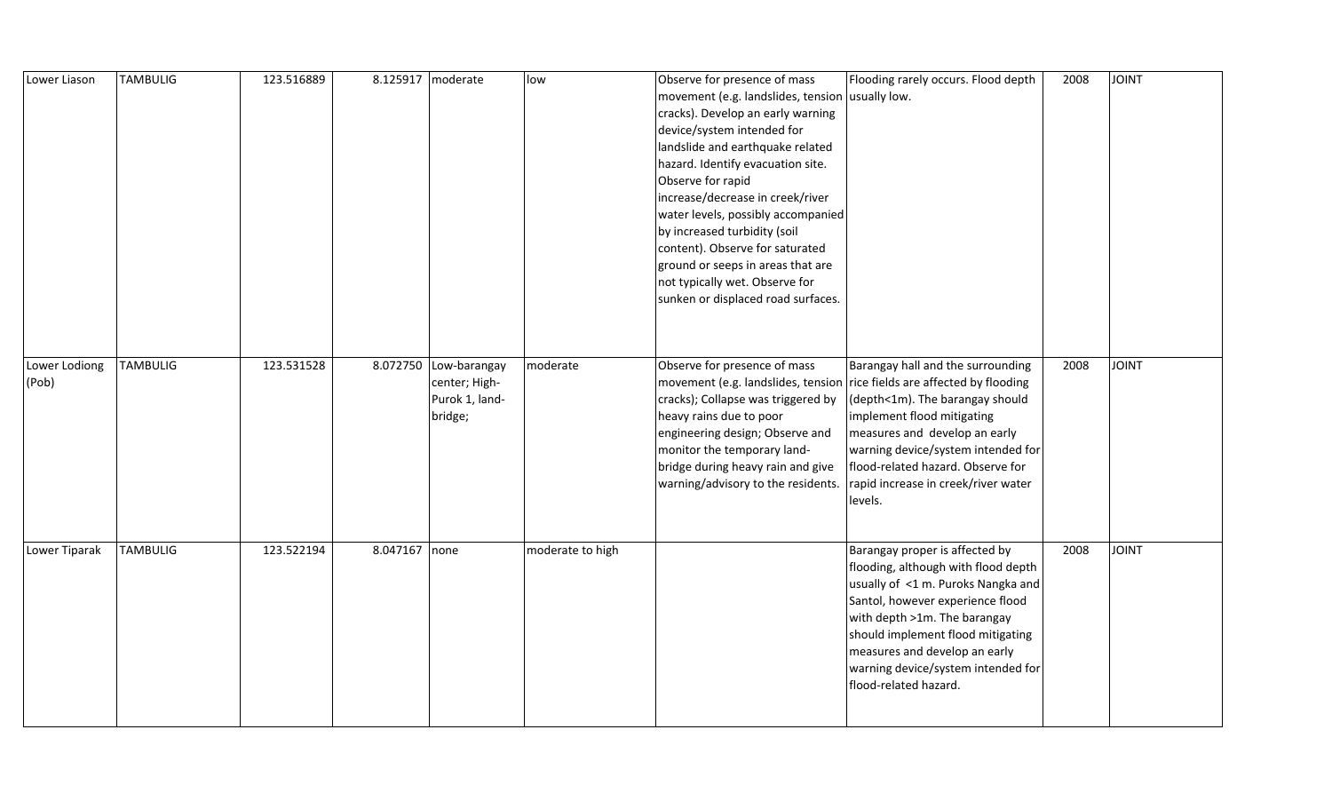| Lower Liason           | <b>TAMBULIG</b> | 123.516889 | 8.125917   moderate |                                                                     | low              | Observe for presence of mass<br>movement (e.g. landslides, tension usually low.<br>cracks). Develop an early warning<br>device/system intended for<br>landslide and earthquake related<br>hazard. Identify evacuation site.<br>Observe for rapid<br>increase/decrease in creek/river<br>water levels, possibly accompanied<br>by increased turbidity (soil<br>content). Observe for saturated<br>ground or seeps in areas that are<br>not typically wet. Observe for<br>sunken or displaced road surfaces. | Flooding rarely occurs. Flood depth                                                                                                                                                                                                                                                                                  | 2008 | <b>TAIOL</b>  |
|------------------------|-----------------|------------|---------------------|---------------------------------------------------------------------|------------------|------------------------------------------------------------------------------------------------------------------------------------------------------------------------------------------------------------------------------------------------------------------------------------------------------------------------------------------------------------------------------------------------------------------------------------------------------------------------------------------------------------|----------------------------------------------------------------------------------------------------------------------------------------------------------------------------------------------------------------------------------------------------------------------------------------------------------------------|------|---------------|
| Lower Lodiong<br>(Pob) | <b>TAMBULIG</b> | 123.531528 |                     | 8.072750 Low-barangay<br>center; High-<br>Purok 1, land-<br>bridge; | moderate         | Observe for presence of mass<br>movement (e.g. landslides, tension rice fields are affected by flooding<br>cracks); Collapse was triggered by<br>heavy rains due to poor<br>engineering design; Observe and<br>monitor the temporary land-<br>bridge during heavy rain and give<br>warning/advisory to the residents.                                                                                                                                                                                      | Barangay hall and the surrounding<br>(depth<1m). The barangay should<br>implement flood mitigating<br>measures and develop an early<br>warning device/system intended for<br>flood-related hazard. Observe for<br>rapid increase in creek/river water<br>levels.                                                     | 2008 | <b>TINIOL</b> |
| Lower Tiparak          | <b>TAMBULIG</b> | 123.522194 | 8.047167 none       |                                                                     | moderate to high |                                                                                                                                                                                                                                                                                                                                                                                                                                                                                                            | Barangay proper is affected by<br>flooding, although with flood depth<br>usually of <1 m. Puroks Nangka and<br>Santol, however experience flood<br>with depth >1m. The barangay<br>should implement flood mitigating<br>measures and develop an early<br>warning device/system intended for<br>flood-related hazard. | 2008 | <b>TINIOL</b> |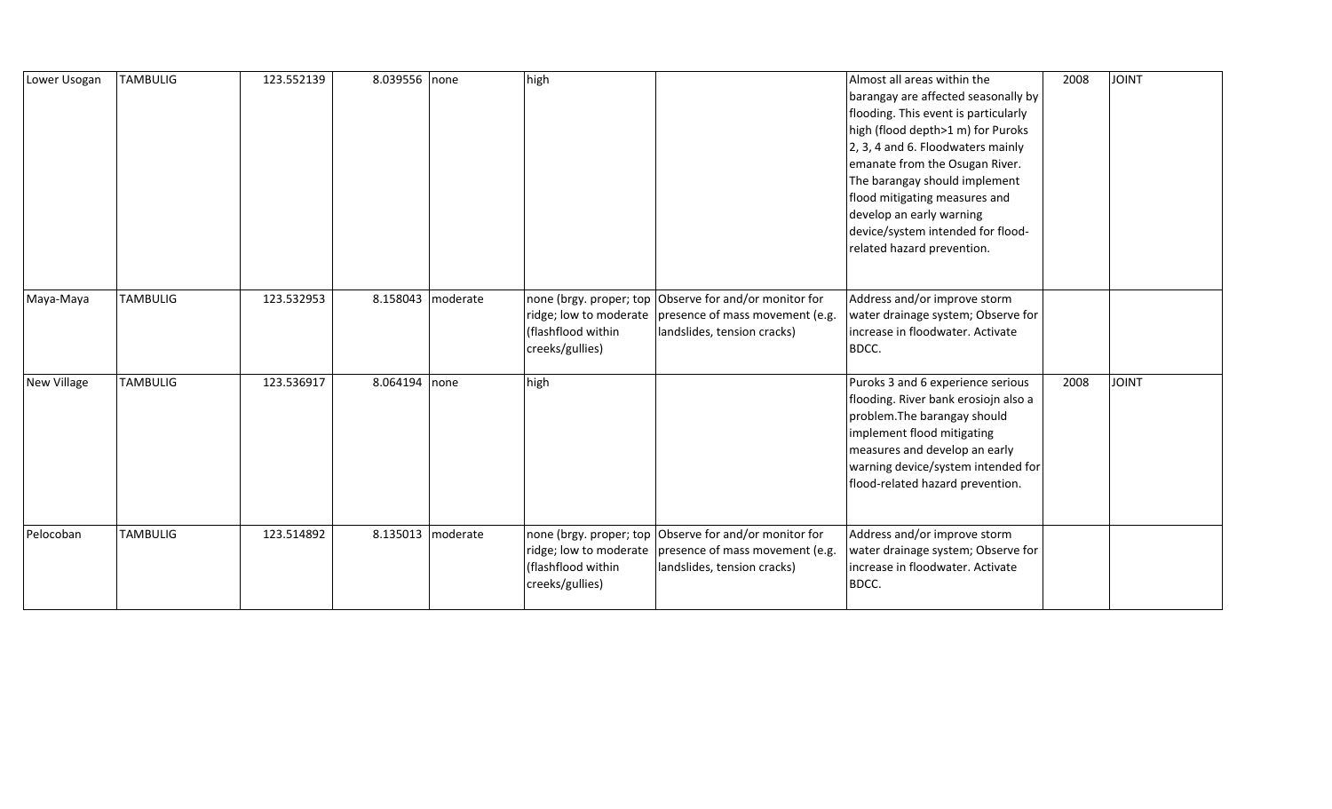| Lower Usogan | <b>TAMBULIG</b> | 123.552139 | 8.039556 none |                     | high                                  |                                                                                                                                                   | Almost all areas within the<br>barangay are affected seasonally by<br>flooding. This event is particularly<br>high (flood depth>1 m) for Puroks<br>2, 3, 4 and 6. Floodwaters mainly<br>emanate from the Osugan River.<br>The barangay should implement<br>flood mitigating measures and<br>develop an early warning<br>device/system intended for flood-<br>related hazard prevention. | 2008 | JOINT        |
|--------------|-----------------|------------|---------------|---------------------|---------------------------------------|---------------------------------------------------------------------------------------------------------------------------------------------------|-----------------------------------------------------------------------------------------------------------------------------------------------------------------------------------------------------------------------------------------------------------------------------------------------------------------------------------------------------------------------------------------|------|--------------|
| Maya-Maya    | <b>TAMBULIG</b> | 123.532953 |               | 8.158043 moderate   | (flashflood within<br>creeks/gullies) | none (brgy. proper; top Observe for and/or monitor for<br>ridge; low to moderate   presence of mass movement (e.g.<br>landslides, tension cracks) | Address and/or improve storm<br>water drainage system; Observe for<br>increase in floodwater. Activate<br>BDCC.                                                                                                                                                                                                                                                                         |      |              |
| New Village  | <b>TAMBULIG</b> | 123.536917 | 8.064194      | none                | high                                  |                                                                                                                                                   | Puroks 3 and 6 experience serious<br>flooding. River bank erosiojn also a<br>problem. The barangay should<br>implement flood mitigating<br>measures and develop an early<br>warning device/system intended for<br>flood-related hazard prevention.                                                                                                                                      | 2008 | <b>JOINT</b> |
| Pelocoban    | <b>TAMBULIG</b> | 123.514892 |               | 8.135013   moderate | (flashflood within<br>creeks/gullies) | none (brgy. proper; top Observe for and/or monitor for<br>ridge; low to moderate   presence of mass movement (e.g.<br>landslides, tension cracks) | Address and/or improve storm<br>water drainage system; Observe for<br>increase in floodwater. Activate<br>BDCC.                                                                                                                                                                                                                                                                         |      |              |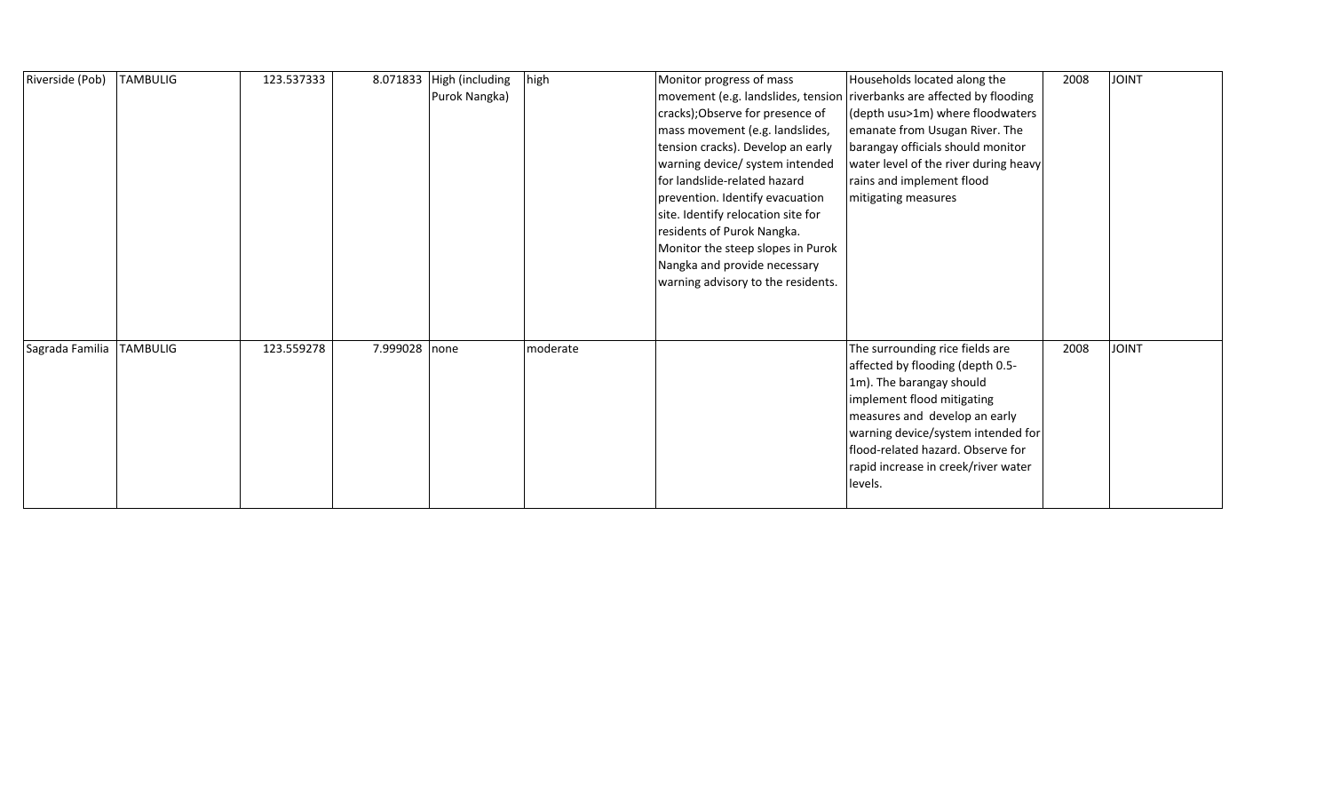| Riverside (Pob) | <b>TAMBULIG</b> | 123.537333 |               | 8.071833 High (including<br>Purok Nangka) | high     | Monitor progress of mass<br>cracks); Observe for presence of<br>mass movement (e.g. landslides,<br>tension cracks). Develop an early<br>warning device/ system intended<br>for landslide-related hazard<br>prevention. Identify evacuation<br>site. Identify relocation site for<br>residents of Purok Nangka.<br>Monitor the steep slopes in Purok<br>Nangka and provide necessary<br>warning advisory to the residents. | Households located along the<br>movement (e.g. landslides, tension riverbanks are affected by flooding<br>(depth usu>1m) where floodwaters<br>emanate from Usugan River. The<br>barangay officials should monitor<br>water level of the river during heavy<br>rains and implement flood<br>mitigating measures | 2008 | <b>TVIOL</b> |
|-----------------|-----------------|------------|---------------|-------------------------------------------|----------|---------------------------------------------------------------------------------------------------------------------------------------------------------------------------------------------------------------------------------------------------------------------------------------------------------------------------------------------------------------------------------------------------------------------------|----------------------------------------------------------------------------------------------------------------------------------------------------------------------------------------------------------------------------------------------------------------------------------------------------------------|------|--------------|
| Sagrada Familia | <b>TAMBULIG</b> | 123.559278 | 7.999028 none |                                           | moderate |                                                                                                                                                                                                                                                                                                                                                                                                                           | The surrounding rice fields are<br>affected by flooding (depth 0.5-<br>1m). The barangay should<br>implement flood mitigating<br>measures and develop an early<br>warning device/system intended for<br>flood-related hazard. Observe for<br>rapid increase in creek/river water<br>levels.                    | 2008 | <b>JOINT</b> |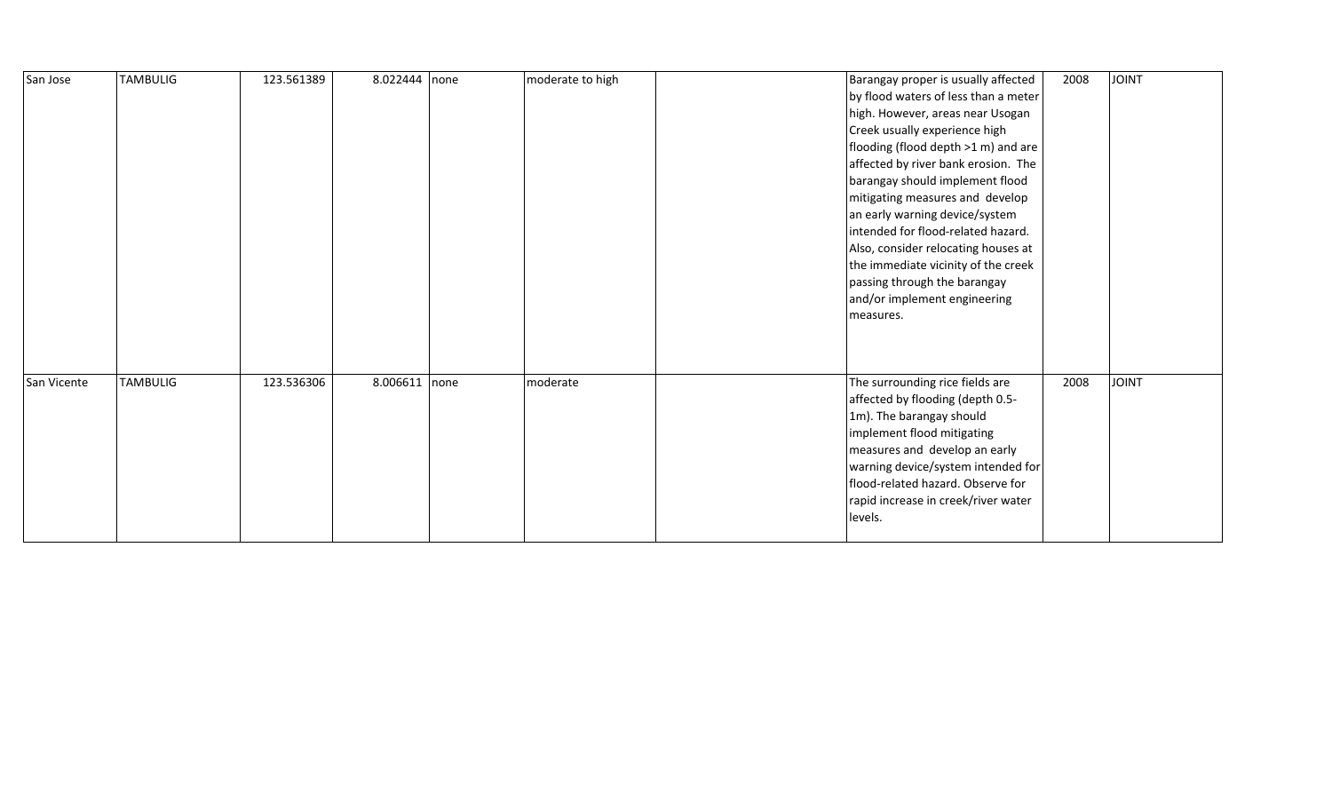| San Jose    | <b>TAMBULIG</b> | 123.561389 | 8.022444 | none | moderate to high | Barangay proper is usually affected<br>by flood waters of less than a meter<br>high. However, areas near Usogan<br>Creek usually experience high<br>flooding (flood depth >1 m) and are<br>affected by river bank erosion. The<br>barangay should implement flood<br>mitigating measures and develop<br>an early warning device/system<br>intended for flood-related hazard.<br>Also, consider relocating houses at<br>the immediate vicinity of the creek<br>passing through the barangay<br>and/or implement engineering<br>measures. | 2008 | <b>JOINT</b> |
|-------------|-----------------|------------|----------|------|------------------|-----------------------------------------------------------------------------------------------------------------------------------------------------------------------------------------------------------------------------------------------------------------------------------------------------------------------------------------------------------------------------------------------------------------------------------------------------------------------------------------------------------------------------------------|------|--------------|
| San Vicente | <b>TAMBULIG</b> | 123.536306 | 8.006611 | none | moderate         | The surrounding rice fields are<br>affected by flooding (depth 0.5-<br>1m). The barangay should<br>implement flood mitigating<br>measures and develop an early<br>warning device/system intended for<br>flood-related hazard. Observe for<br>rapid increase in creek/river water<br>levels.                                                                                                                                                                                                                                             | 2008 | <b>JOINT</b> |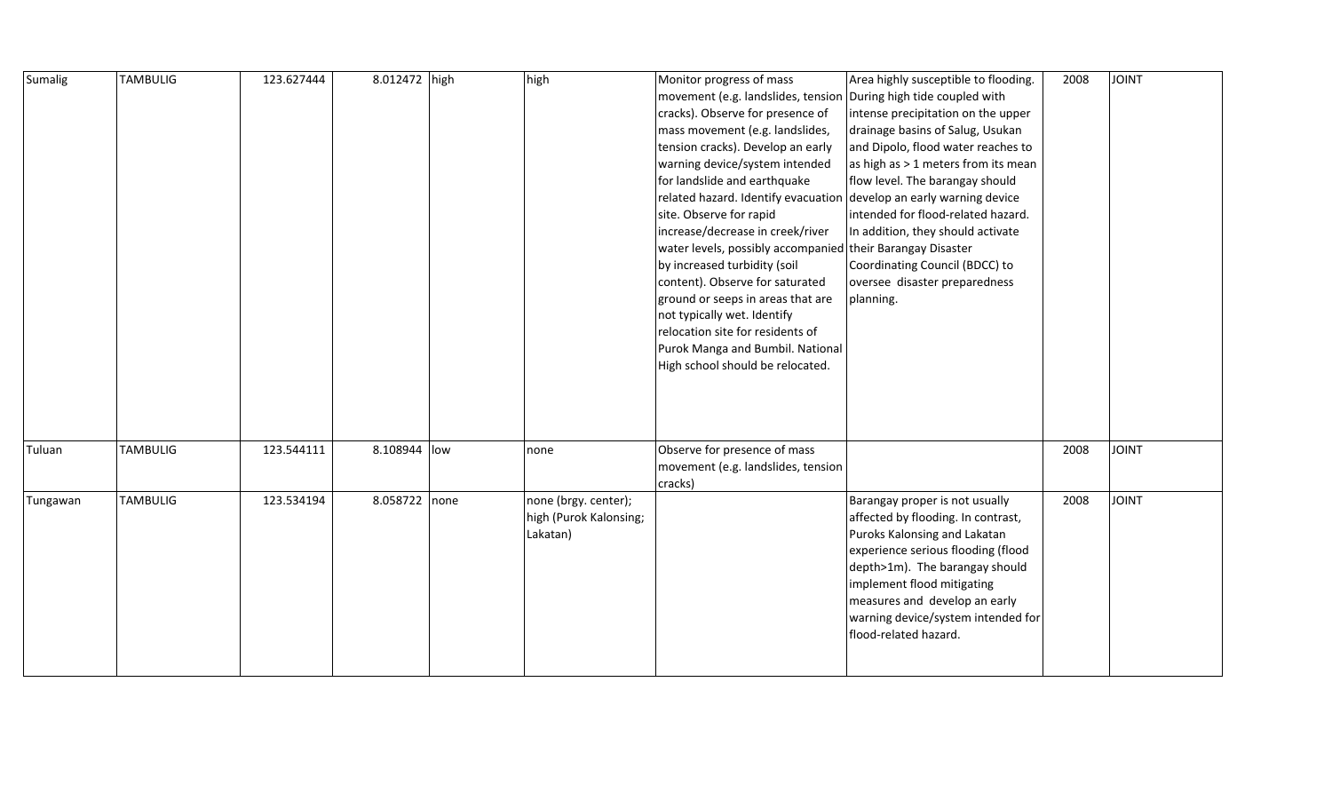| Sumalig  | <b>TAMBULIG</b> | 123.627444 | 8.012472 high | high                                                       | Monitor progress of mass<br>movement (e.g. landslides, tension<br>cracks). Observe for presence of<br>mass movement (e.g. landslides,<br>tension cracks). Develop an early<br>warning device/system intended<br>for landslide and earthquake<br>related hazard. Identify evacuation develop an early warning device<br>site. Observe for rapid<br>increase/decrease in creek/river<br>water levels, possibly accompanied their Barangay Disaster<br>by increased turbidity (soil<br>content). Observe for saturated<br>ground or seeps in areas that are<br>not typically wet. Identify<br>relocation site for residents of<br>Purok Manga and Bumbil. National<br>High school should be relocated. | Area highly susceptible to flooding.<br>During high tide coupled with<br>intense precipitation on the upper<br>drainage basins of Salug, Usukan<br>and Dipolo, flood water reaches to<br>as high as > 1 meters from its mean<br>flow level. The barangay should<br>intended for flood-related hazard.<br>In addition, they should activate<br>Coordinating Council (BDCC) to<br>oversee disaster preparedness<br>planning. | 2008 | <b>JOINT</b> |
|----------|-----------------|------------|---------------|------------------------------------------------------------|-----------------------------------------------------------------------------------------------------------------------------------------------------------------------------------------------------------------------------------------------------------------------------------------------------------------------------------------------------------------------------------------------------------------------------------------------------------------------------------------------------------------------------------------------------------------------------------------------------------------------------------------------------------------------------------------------------|----------------------------------------------------------------------------------------------------------------------------------------------------------------------------------------------------------------------------------------------------------------------------------------------------------------------------------------------------------------------------------------------------------------------------|------|--------------|
| Tuluan   | <b>TAMBULIG</b> | 123.544111 | 8.108944 low  | none                                                       | Observe for presence of mass<br>movement (e.g. landslides, tension<br>cracks)                                                                                                                                                                                                                                                                                                                                                                                                                                                                                                                                                                                                                       |                                                                                                                                                                                                                                                                                                                                                                                                                            | 2008 | <b>JOINT</b> |
| Tungawan | <b>TAMBULIG</b> | 123.534194 | 8.058722 none | none (brgy. center);<br>high (Purok Kalonsing;<br>Lakatan) |                                                                                                                                                                                                                                                                                                                                                                                                                                                                                                                                                                                                                                                                                                     | Barangay proper is not usually<br>affected by flooding. In contrast,<br>Puroks Kalonsing and Lakatan<br>experience serious flooding (flood<br>depth>1m). The barangay should<br>implement flood mitigating<br>measures and develop an early<br>warning device/system intended for<br>flood-related hazard.                                                                                                                 | 2008 | <b>JOINT</b> |